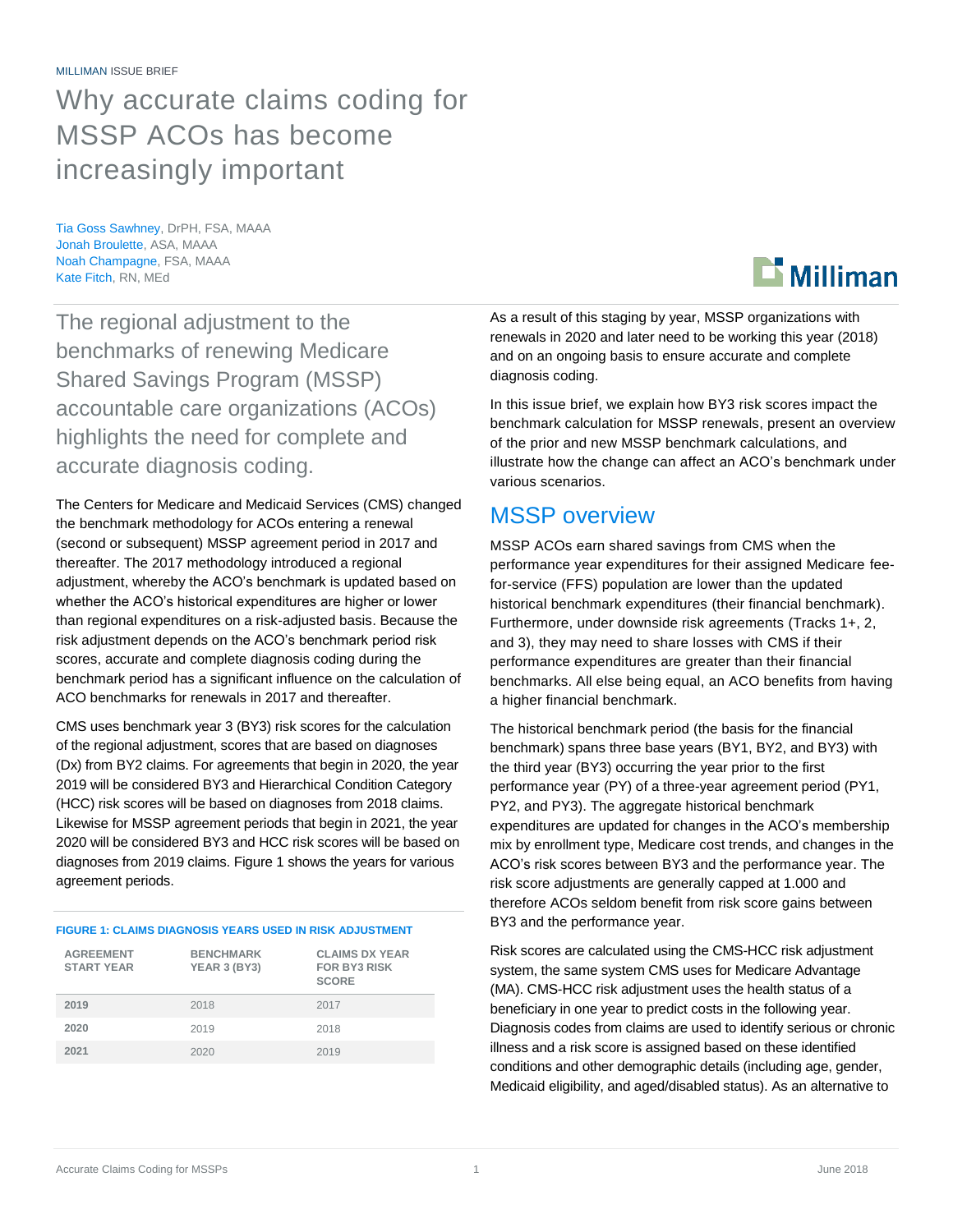# Why accurate claims coding for MSSP ACOs has become increasingly important

Tia Goss Sawhney, DrPH, FSA, MAAA Jonah Broulette, ASA, MAAA Noah Champagne, FSA, MAAA Kate Fitch, RN, MEd

The regional adjustment to the benchmarks of renewing Medicare Shared Savings Program (MSSP) accountable care organizations (ACOs) highlights the need for complete and accurate diagnosis coding.

The Centers for Medicare and Medicaid Services (CMS) changed the benchmark methodology for ACOs entering a renewal (second or subsequent) MSSP agreement period in 2017 and thereafter. The 2017 methodology introduced a regional adjustment, whereby the ACO's benchmark is updated based on whether the ACO's historical expenditures are higher or lower than regional expenditures on a risk-adjusted basis. Because the risk adjustment depends on the ACO's benchmark period risk scores, accurate and complete diagnosis coding during the benchmark period has a significant influence on the calculation of ACO benchmarks for renewals in 2017 and thereafter.

CMS uses benchmark year 3 (BY3) risk scores for the calculation of the regional adjustment, scores that are based on diagnoses (Dx) from BY2 claims. For agreements that begin in 2020, the year 2019 will be considered BY3 and Hierarchical Condition Category (HCC) risk scores will be based on diagnoses from 2018 claims. Likewise for MSSP agreement periods that begin in 2021, the year 2020 will be considered BY3 and HCC risk scores will be based on diagnoses from 2019 claims. Figure 1 shows the years for various agreement periods.

### **FIGURE 1: CLAIMS DIAGNOSIS YEARS USED IN RISK ADJUSTMENT**

| <b>AGREEMENT</b><br><b>START YEAR</b> | <b>BENCHMARK</b><br>YEAR 3 (BY3) | <b>CLAIMS DX YEAR</b><br><b>FOR BY3 RISK</b><br><b>SCORE</b> |
|---------------------------------------|----------------------------------|--------------------------------------------------------------|
| 2019                                  | 2018                             | 2017                                                         |
| 2020                                  | 2019                             | 2018                                                         |
| 2021                                  | 2020                             | 2019                                                         |

As a result of this staging by year, MSSP organizations with renewals in 2020 and later need to be working this year (2018) and on an ongoing basis to ensure accurate and complete diagnosis coding.

In this issue brief, we explain how BY3 risk scores impact the benchmark calculation for MSSP renewals, present an overview of the prior and new MSSP benchmark calculations, and illustrate how the change can affect an ACO's benchmark under various scenarios.

### MSSP overview

MSSP ACOs earn shared savings from CMS when the performance year expenditures for their assigned Medicare feefor-service (FFS) population are lower than the updated historical benchmark expenditures (their financial benchmark). Furthermore, under downside risk agreements (Tracks 1+, 2, and 3), they may need to share losses with CMS if their performance expenditures are greater than their financial benchmarks. All else being equal, an ACO benefits from having a higher financial benchmark.

The historical benchmark period (the basis for the financial benchmark) spans three base years (BY1, BY2, and BY3) with the third year (BY3) occurring the year prior to the first performance year (PY) of a three-year agreement period (PY1, PY2, and PY3). The aggregate historical benchmark expenditures are updated for changes in the ACO's membership mix by enrollment type, Medicare cost trends, and changes in the ACO's risk scores between BY3 and the performance year. The risk score adjustments are generally capped at 1.000 and therefore ACOs seldom benefit from risk score gains between BY3 and the performance year.

Risk scores are calculated using the CMS-HCC risk adjustment system, the same system CMS uses for Medicare Advantage (MA). CMS-HCC risk adjustment uses the health status of a beneficiary in one year to predict costs in the following year. Diagnosis codes from claims are used to identify serious or chronic illness and a risk score is assigned based on these identified conditions and other demographic details (including age, gender, Medicaid eligibility, and aged/disabled status). As an alternative to

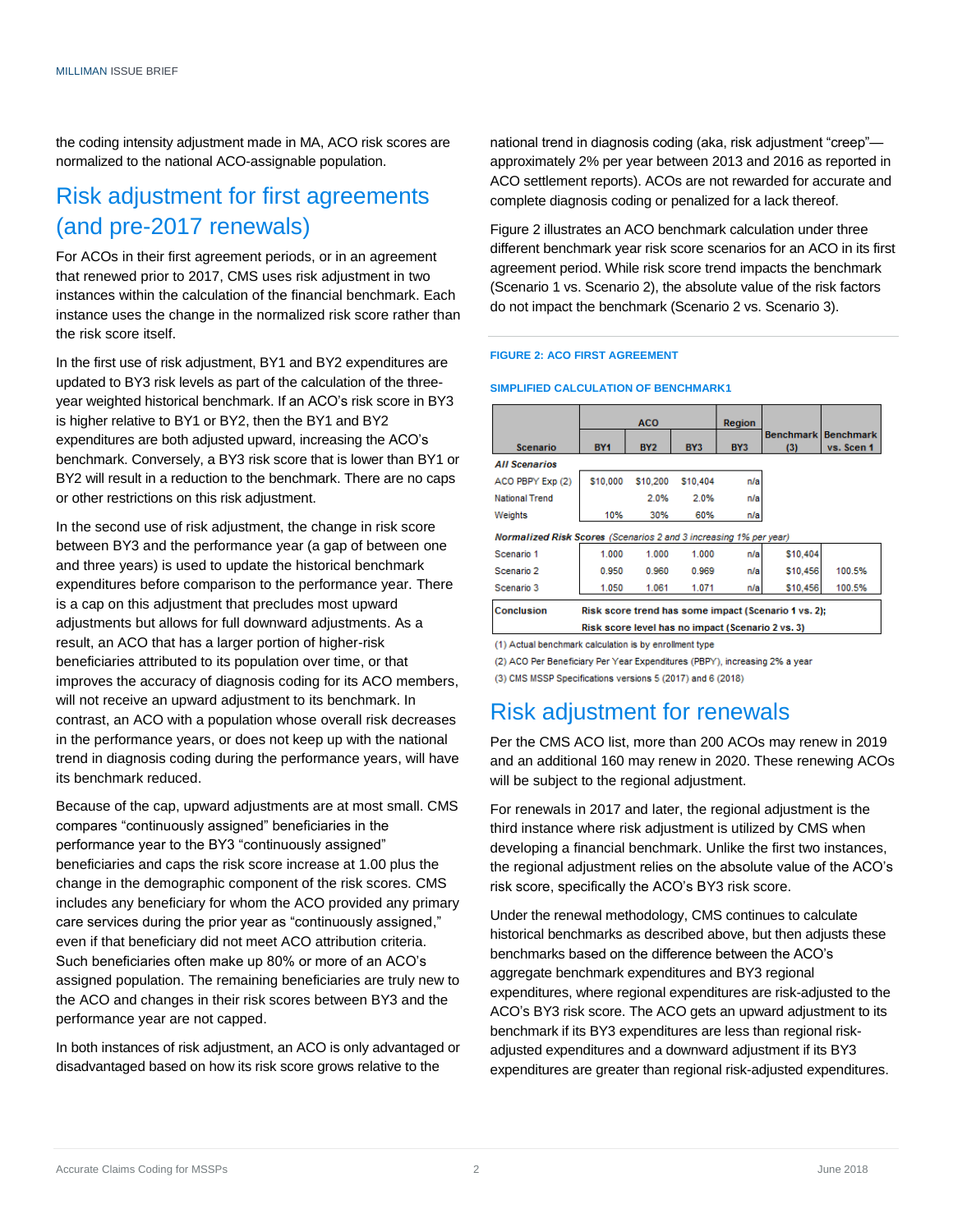the coding intensity adjustment made in MA, ACO risk scores are normalized to the national ACO-assignable population.

# Risk adjustment for first agreements (and pre-2017 renewals)

For ACOs in their first agreement periods, or in an agreement that renewed prior to 2017, CMS uses risk adjustment in two instances within the calculation of the financial benchmark. Each instance uses the change in the normalized risk score rather than the risk score itself.

In the first use of risk adjustment, BY1 and BY2 expenditures are updated to BY3 risk levels as part of the calculation of the threeyear weighted historical benchmark. If an ACO's risk score in BY3 is higher relative to BY1 or BY2, then the BY1 and BY2 expenditures are both adjusted upward, increasing the ACO's benchmark. Conversely, a BY3 risk score that is lower than BY1 or BY2 will result in a reduction to the benchmark. There are no caps or other restrictions on this risk adjustment.

In the second use of risk adjustment, the change in risk score between BY3 and the performance year (a gap of between one and three years) is used to update the historical benchmark expenditures before comparison to the performance year. There is a cap on this adjustment that precludes most upward adjustments but allows for full downward adjustments. As a result, an ACO that has a larger portion of higher-risk beneficiaries attributed to its population over time, or that improves the accuracy of diagnosis coding for its ACO members, will not receive an upward adjustment to its benchmark. In contrast, an ACO with a population whose overall risk decreases in the performance years, or does not keep up with the national trend in diagnosis coding during the performance years, will have its benchmark reduced.

Because of the cap, upward adjustments are at most small. CMS compares "continuously assigned" beneficiaries in the performance year to the BY3 "continuously assigned" beneficiaries and caps the risk score increase at 1.00 plus the change in the demographic component of the risk scores. CMS includes any beneficiary for whom the ACO provided any primary care services during the prior year as "continuously assigned," even if that beneficiary did not meet ACO attribution criteria. Such beneficiaries often make up 80% or more of an ACO's assigned population. The remaining beneficiaries are truly new to the ACO and changes in their risk scores between BY3 and the performance year are not capped.

In both instances of risk adjustment, an ACO is only advantaged or disadvantaged based on how its risk score grows relative to the

national trend in diagnosis coding (aka, risk adjustment "creep" approximately 2% per year between 2013 and 2016 as reported in ACO settlement reports). ACOs are not rewarded for accurate and complete diagnosis coding or penalized for a lack thereof.

Figure 2 illustrates an ACO benchmark calculation under three different benchmark year risk score scenarios for an ACO in its first agreement period. While risk score trend impacts the benchmark (Scenario 1 vs. Scenario 2), the absolute value of the risk factors do not impact the benchmark (Scenario 2 vs. Scenario 3).

### **FIGURE 2: ACO FIRST AGREEMENT**

#### **SIMPLIFIED CALCULATION OF BENCHMARK1**

|                                                                   |                                                      | <b>ACO</b> |                 | Region |                  |                                |  |
|-------------------------------------------------------------------|------------------------------------------------------|------------|-----------------|--------|------------------|--------------------------------|--|
| Scenario                                                          | <b>BY1</b>                                           | <b>BY2</b> | BY <sub>3</sub> | BY3    | <b>Benchmark</b> | <b>Benchmark</b><br>vs. Scen 1 |  |
|                                                                   |                                                      |            |                 |        | (3)              |                                |  |
| <b>All Scenarios</b>                                              |                                                      |            |                 |        |                  |                                |  |
| ACO PBPY Exp (2)                                                  | \$10,000                                             | \$10,200   | \$10,404        | n/a    |                  |                                |  |
| <b>National Trend</b>                                             |                                                      | 2.0%       | 2.0%            | n/a    |                  |                                |  |
| Weights                                                           | 10%                                                  | 30%        | 60%             | n/a    |                  |                                |  |
| Normalized Risk Scores (Scenarios 2 and 3 increasing 1% per year) |                                                      |            |                 |        |                  |                                |  |
| Scenario 1                                                        | 1.000                                                | 1.000      | 1.000           | n/a    | \$10,404         |                                |  |
| Scenario 2                                                        | 0.950                                                | 0.960      | 0.969           | n/a    | \$10,456         | 100.5%                         |  |
| Scenario 3                                                        | 1.050                                                | 1.061      | 1.071           | n/a    | \$10,456         | 100.5%                         |  |
| Conclusion                                                        | Risk score trend has some impact (Scenario 1 vs. 2): |            |                 |        |                  |                                |  |
|                                                                   | Risk score level has no impact (Scenario 2 vs. 3)    |            |                 |        |                  |                                |  |

(1) Actual benchmark calculation is by enrollment type

(2) ACO Per Beneficiary Per Year Expenditures (PBPY), increasing 2% a year (3) CMS MSSP Specifications versions 5 (2017) and 6 (2018)

### Risk adjustment for renewals

Per the CMS ACO list, more than 200 ACOs may renew in 2019 and an additional 160 may renew in 2020. These renewing ACOs will be subject to the regional adjustment.

For renewals in 2017 and later, the regional adjustment is the third instance where risk adjustment is utilized by CMS when developing a financial benchmark. Unlike the first two instances, the regional adjustment relies on the absolute value of the ACO's risk score, specifically the ACO's BY3 risk score.

Under the renewal methodology, CMS continues to calculate historical benchmarks as described above, but then adjusts these benchmarks based on the difference between the ACO's aggregate benchmark expenditures and BY3 regional expenditures, where regional expenditures are risk-adjusted to the ACO's BY3 risk score. The ACO gets an upward adjustment to its benchmark if its BY3 expenditures are less than regional riskadjusted expenditures and a downward adjustment if its BY3 expenditures are greater than regional risk-adjusted expenditures.